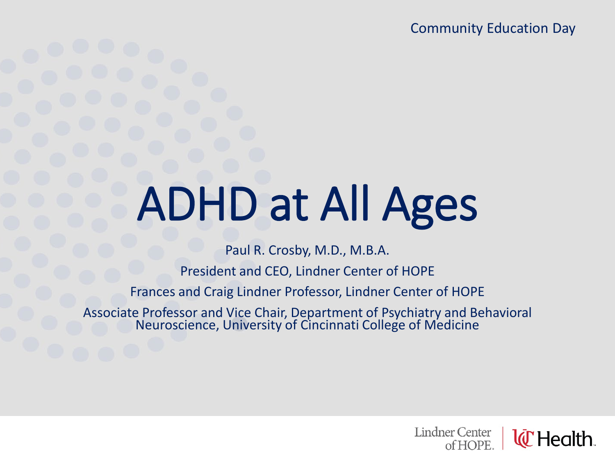Community Education Day

# ADHD at All Ages

Paul R. Crosby, M.D., M.B.A.

President and CEO, Lindner Center of HOPE

Frances and Craig Lindner Professor, Lindner Center of HOPE

Associate Professor and Vice Chair, Department of Psychiatry and Behavioral Neuroscience, University of Cincinnati College of Medicine

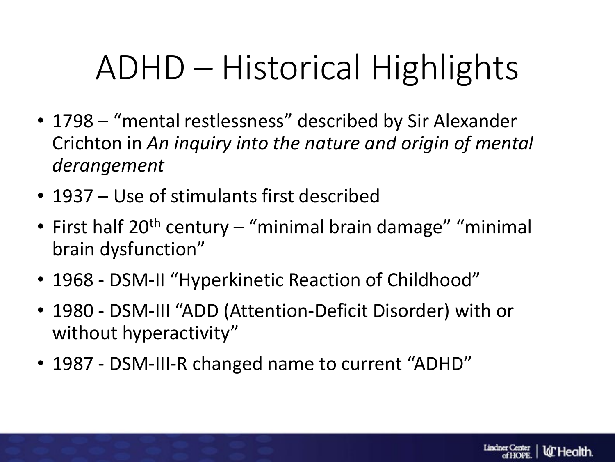# ADHD – Historical Highlights

- 1798 "mental restlessness" described by Sir Alexander Crichton in *An inquiry into the nature and origin of mental derangement*
- 1937 Use of stimulants first described
- First half  $20<sup>th</sup>$  century "minimal brain damage" "minimal brain dysfunction"
- 1968 DSM-II "Hyperkinetic Reaction of Childhood"
- 1980 DSM-III "ADD (Attention-Deficit Disorder) with or without hyperactivity"
- 1987 DSM-III-R changed name to current "ADHD"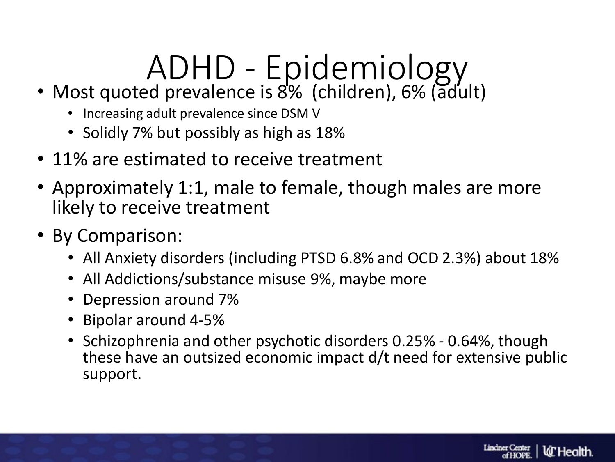# ADHD - Epidemiology

- Most quoted prevalence is 8% (children), 6% (adult)
	- Increasing adult prevalence since DSM V
	- Solidly 7% but possibly as high as 18%
- 11% are estimated to receive treatment
- Approximately 1:1, male to female, though males are more likely to receive treatment
- By Comparison:
	- All Anxiety disorders (including PTSD 6.8% and OCD 2.3%) about 18%
	- All Addictions/substance misuse 9%, maybe more
	- Depression around 7%
	- Bipolar around 4-5%
	- Schizophrenia and other psychotic disorders 0.25% 0.64%, though these have an outsized economic impact d/t need for extensive public support.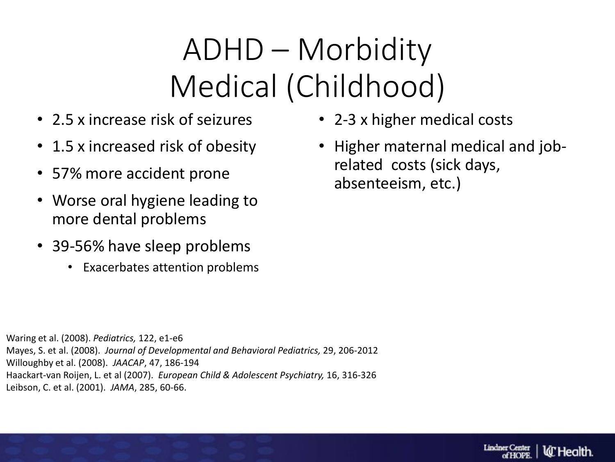### ADHD – Morbidity Medical (Childhood)

- 2.5 x increase risk of seizures
- 1.5 x increased risk of obesity
- 57% more accident prone
- Worse oral hygiene leading to more dental problems
- 39-56% have sleep problems
	- Exacerbates attention problems
- 2-3 x higher medical costs
- Higher maternal medical and jobrelated costs (sick days, absenteeism, etc.)

Waring et al. (2008). *Pediatrics,* 122, e1-e6 Mayes, S. et al. (2008). *Journal of Developmental and Behavioral Pediatrics,* 29, 206-2012 Willoughby et al. (2008). *JAACAP*, 47, 186-194 Haackart-van Roijen, L. et al (2007). *European Child & Adolescent Psychiatry,* 16, 316-326 Leibson, C. et al. (2001). *JAMA*, 285, 60-66.

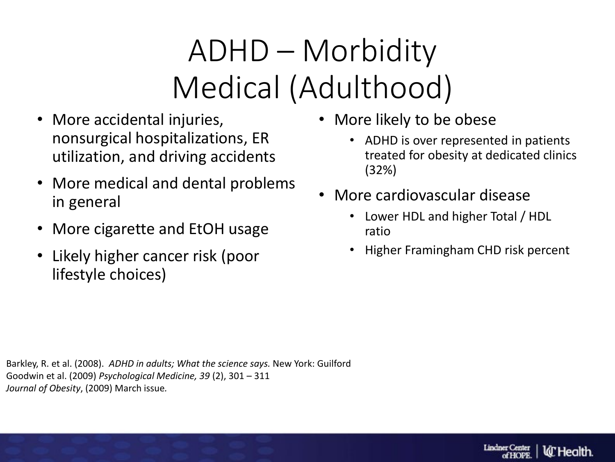### ADHD – Morbidity Medical (Adulthood)

- More accidental injuries, nonsurgical hospitalizations, ER utilization, and driving accidents
- More medical and dental problems in general
- More cigarette and EtOH usage
- Likely higher cancer risk (poor lifestyle choices)
- More likely to be obese
	- ADHD is over represented in patients treated for obesity at dedicated clinics (32%)
- More cardiovascular disease
	- Lower HDL and higher Total / HDL ratio
	- Higher Framingham CHD risk percent

Barkley, R. et al. (2008). *ADHD in adults; What the science says.* New York: Guilford Goodwin et al. (2009) *Psychological Medicine, 39* (2), 301 – 311 *Journal of Obesity*, (2009) March issue*.*

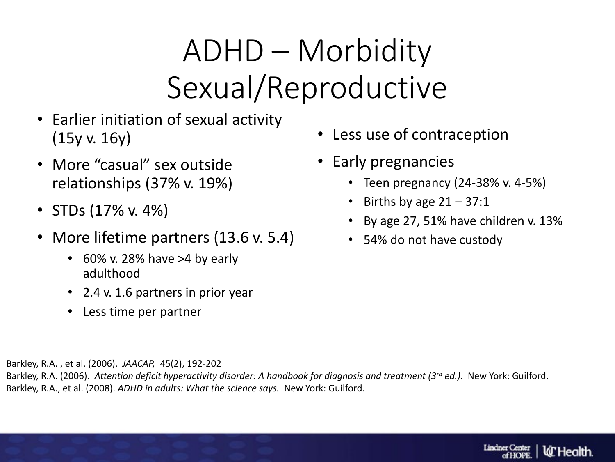#### ADHD – Morbidity Sexual/Reproductive

- Earlier initiation of sexual activity (15y v. 16y)
- More "casual" sex outside relationships (37% v. 19%)
- STDs  $(17\% \text{ v. } 4\%)$
- More lifetime partners (13.6 v. 5.4)
	- $\cdot$  60% v. 28% have >4 by early adulthood
	- 2.4 v. 1.6 partners in prior year
	- Less time per partner
- Less use of contraception
- Early pregnancies
	- Teen pregnancy (24-38% v. 4-5%)
	- Births by age  $21 37:1$
	- By age 27, 51% have children v. 13%
	- 54% do not have custody

Barkley, R.A. , et al. (2006). *JAACAP,* 45(2), 192-202

Barkley, R.A. (2006). *Attention deficit hyperactivity disorder: A handbook for diagnosis and treatment (3rd ed.).* New York: Guilford. Barkley, R.A., et al. (2008). *ADHD in adults: What the science says.* New York: Guilford.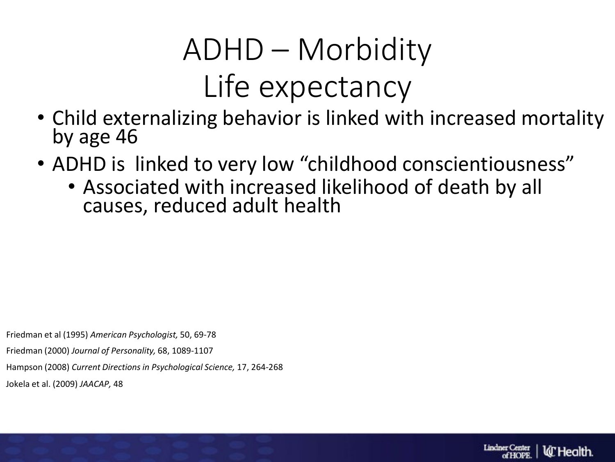### ADHD – Morbidity Life expectancy

- Child externalizing behavior is linked with increased mortality by age 46
- ADHD is linked to very low "childhood conscientiousness"
	- Associated with increased likelihood of death by all causes, reduced adult health

Friedman et al (1995) *American Psychologist,* 50, 69-78

Friedman (2000) *Journal of Personality,* 68, 1089-1107

Hampson (2008) *Current Directions in Psychological Science,* 17, 264-268

Jokela et al. (2009) *JAACAP,* 48

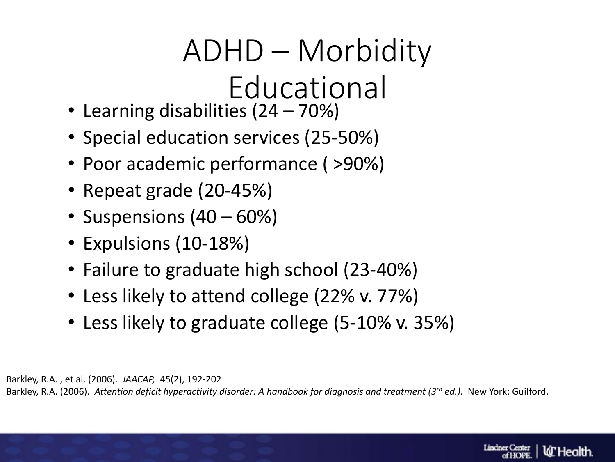# ADHD – Morbidity

# Educational

- Learning disabilities (24 70%)
- Special education services (25-50%)
- Poor academic performance ( >90%)
- Repeat grade (20-45%)
- Suspensions (40 60%)
- Expulsions (10-18%)
- Failure to graduate high school (23-40%)
- Less likely to attend college (22% v. 77%)
- Less likely to graduate college (5-10% v. 35%)

Barkley, R.A. , et al. (2006). *JAACAP,* 45(2), 192-202

Barkley, R.A. (2006). *Attention deficit hyperactivity disorder: A handbook for diagnosis and treatment (3rd ed.).* New York: Guilford.

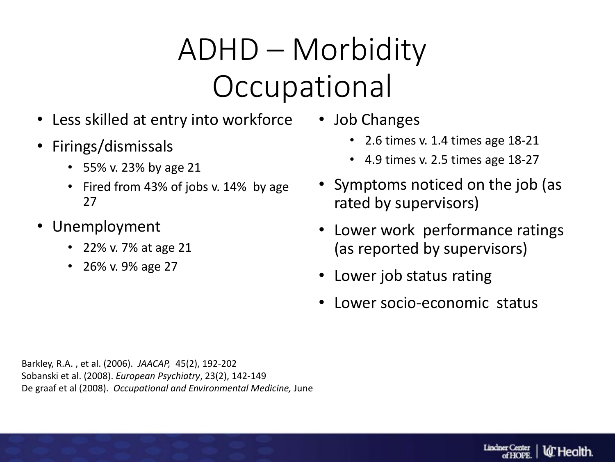### ADHD – Morbidity **Occupational**

- Less skilled at entry into workforce
- Firings/dismissals
	- 55% v. 23% by age 21
	- Fired from 43% of jobs v. 14% by age 27
- Unemployment
	- 22% v. 7% at age 21
	- 26% v. 9% age 27
- Job Changes
	- 2.6 times v. 1.4 times age 18-21
	- 4.9 times v. 2.5 times age 18-27
- Symptoms noticed on the job (as rated by supervisors)
- Lower work performance ratings (as reported by supervisors)
- Lower job status rating
- Lower socio-economic status

Barkley, R.A. , et al. (2006). *JAACAP,* 45(2), 192-202 Sobanski et al. (2008). *European Psychiatry*, 23(2), 142-149 De graaf et al (2008). *Occupational and Environmental Medicine,* June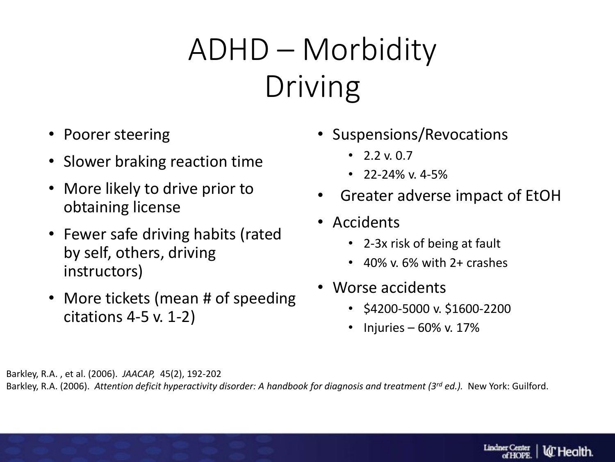### ADHD – Morbidity Driving

- Poorer steering
- Slower braking reaction time
- More likely to drive prior to obtaining license
- Fewer safe driving habits (rated by self, others, driving instructors)
- More tickets (mean # of speeding citations 4-5 v. 1-2)
- Suspensions/Revocations
	- $22*v* 0.7$
	- $22-24\%$  v. 4-5%
- Greater adverse impact of EtOH
- Accidents
	- 2-3x risk of being at fault
	- 40% v. 6% with 2+ crashes
- Worse accidents
	- \$4200-5000 v. \$1600-2200
	- Injuries  $60\%$  v. 17%

Barkley, R.A. , et al. (2006). *JAACAP,* 45(2), 192-202

Barkley, R.A. (2006). *Attention deficit hyperactivity disorder: A handbook for diagnosis and treatment (3rd ed.).* New York: Guilford.

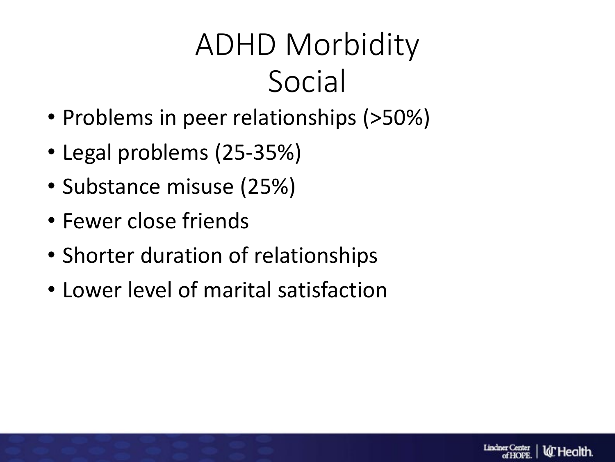### ADHD Morbidity Social

- Problems in peer relationships (>50%)
- Legal problems (25-35%)
- Substance misuse (25%)
- Fewer close friends
- Shorter duration of relationships
- Lower level of marital satisfaction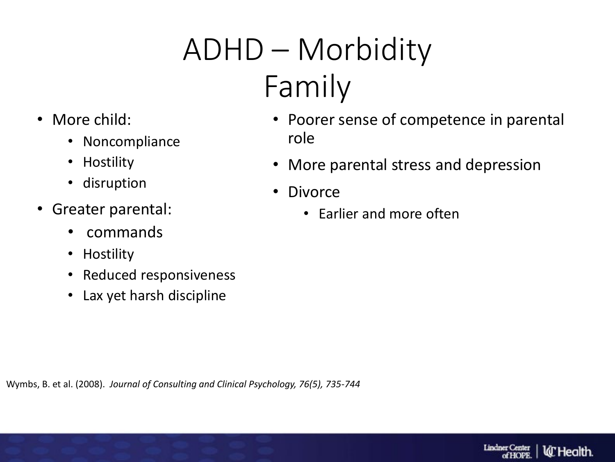## ADHD – Morbidity Family

- More child:
	- Noncompliance
	- Hostility
	- disruption
- Greater parental:
	- commands
	- Hostility
	- Reduced responsiveness
	- Lax yet harsh discipline
- Poorer sense of competence in parental role
- More parental stress and depression
- Divorce
	- Earlier and more often

Wymbs, B. et al. (2008). *Journal of Consulting and Clinical Psychology, 76(5), 735-744*

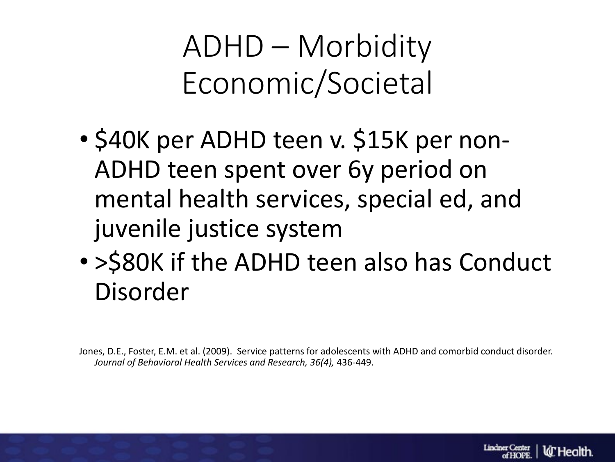ADHD – Morbidity Economic/Societal

- \$40K per ADHD teen v. \$15K per non-ADHD teen spent over 6y period on mental health services, special ed, and juvenile justice system
- >\$80K if the ADHD teen also has Conduct Disorder

Jones, D.E., Foster, E.M. et al. (2009). Service patterns for adolescents with ADHD and comorbid conduct disorder. *Journal of Behavioral Health Services and Research, 36(4),* 436-449.

Lindner Center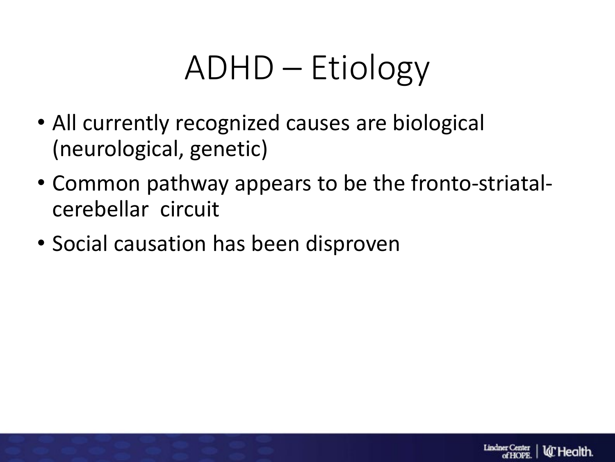# ADHD – Etiology

- All currently recognized causes are biological (neurological, genetic)
- Common pathway appears to be the fronto-striatalcerebellar circuit
- Social causation has been disproven

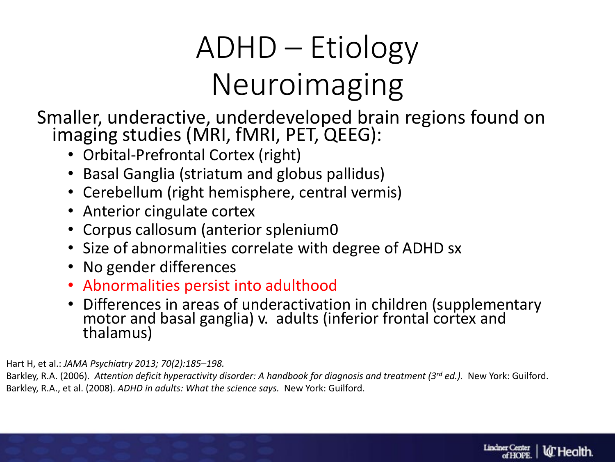### ADHD – Etiology Neuroimaging

Smaller, underactive, underdeveloped brain regions found on imaging studies (MRI, fMRI, PET, QEEG):

- Orbital-Prefrontal Cortex (right)
- Basal Ganglia (striatum and globus pallidus)
- Cerebellum (right hemisphere, central vermis)
- Anterior cingulate cortex
- Corpus callosum (anterior splenium0
- Size of abnormalities correlate with degree of ADHD sx
- No gender differences
- Abnormalities persist into adulthood
- Differences in areas of underactivation in children (supplementary motor and basal ganglia) v. adults (inferior frontal cortex and thalamus)

Hart H, et al.: *JAMA Psychiatry 2013; 70(2):185–198.*

Barkley, R.A. (2006). *Attention deficit hyperactivity disorder: A handbook for diagnosis and treatment (3rd ed.).* New York: Guilford. Barkley, R.A., et al. (2008). *ADHD in adults: What the science says.* New York: Guilford.

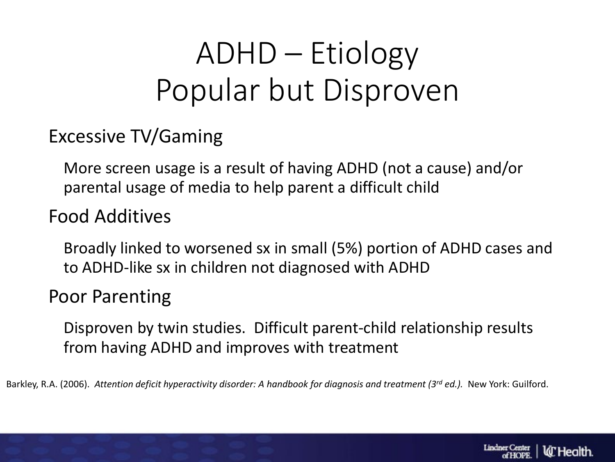#### ADHD – Etiology Popular but Disproven

#### Excessive TV/Gaming

More screen usage is a result of having ADHD (not a cause) and/or parental usage of media to help parent a difficult child

#### Food Additives

Broadly linked to worsened sx in small (5%) portion of ADHD cases and to ADHD-like sx in children not diagnosed with ADHD

#### Poor Parenting

Disproven by twin studies. Difficult parent-child relationship results from having ADHD and improves with treatment

Barkley, R.A. (2006). *Attention deficit hyperactivity disorder: A handbook for diagnosis and treatment (3rd ed.).* New York: Guilford.

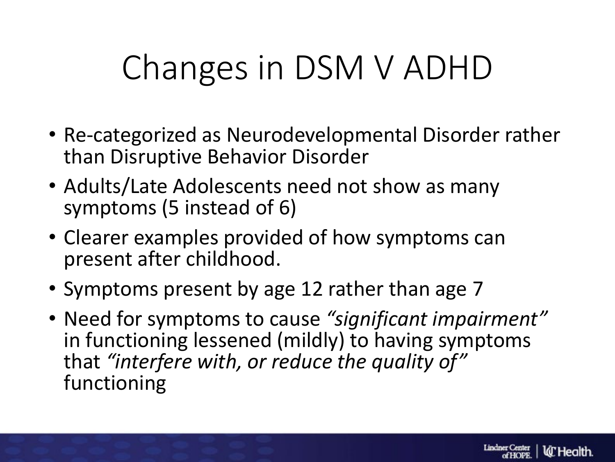# Changes in DSM V ADHD

- Re-categorized as Neurodevelopmental Disorder rather than Disruptive Behavior Disorder
- Adults/Late Adolescents need not show as many symptoms (5 instead of 6)
- Clearer examples provided of how symptoms can present after childhood.
- Symptoms present by age 12 rather than age 7
- Need for symptoms to cause *"significant impairment"* in functioning lessened (mildly) to having symptoms that *"interfere with, or reduce the quality of"*  functioning

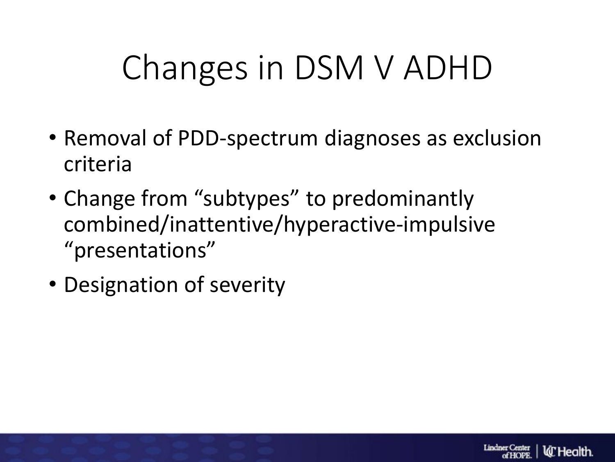# Changes in DSM V ADHD

- Removal of PDD-spectrum diagnoses as exclusion criteria
- Change from "subtypes" to predominantly combined/inattentive/hyperactive-impulsive "presentations"
- Designation of severity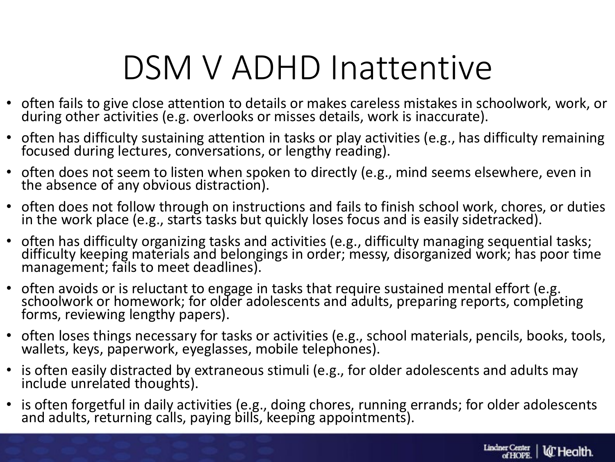## DSM V ADHD Inattentive

- often fails to give close attention to details or makes careless mistakes in schoolwork, work, or during other activities (e.g. overlooks or misses details, work is inaccurate).
- often has difficulty sustaining attention in tasks or play activities (e.g., has difficulty remaining focused during lectures, conversations, or lengthy reading).
- often does not seem to listen when spoken to directly (e.g., mind seems elsewhere, even in the absence of any obvious distraction).
- often does not follow through on instructions and fails to finish school work, chores, or duties in the work place (e.g., starts tasks but quickly loses focus and is easily sidetracked).
- often has difficulty organizing tasks and activities (e.g., difficulty managing sequential tasks; difficulty keeping materials and belongings in order; messy, disorganized work; has poor time management; fails to meet deadlines).
- often avoids or is reluctant to engage in tasks that require sustained mental effort (e.g. schoolwork or homework; for older adolescents and adults, preparing reports, completing forms, reviewing lengthy papers).
- often loses things necessary for tasks or activities (e.g., school materials, pencils, books, tools, wallets, keys, paperwork, eyeglasses, mobile telephones).
- is often easily distracted by extraneous stimuli (e.g., for older adolescents and adults may include unrelated thoughts).
- is often forgetful in daily activities (e.g., doing chores, running errands; for older adolescents and adults, returning calls, paying bills, keeping appointments).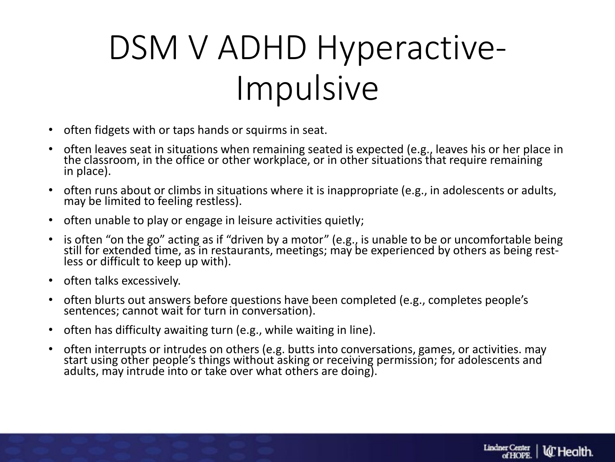# DSM V ADHD Hyperactive-Impulsive

- often fidgets with or taps hands or squirms in seat.
- often leaves seat in situations when remaining seated is expected (e.g., leaves his or her place in the classroom, in the office or other workplace, or in other situations that require remaining in place).
- often runs about or climbs in situations where it is inappropriate (e.g., in adolescents or adults, may be limited to feeling restless).
- often unable to play or engage in leisure activities quietly;
- is often "on the go" acting as if "driven by a motor" (e.g., is unable to be or uncomfortable being still for extended time, as in restaurants, meetings; may be experienced by others as being rest-<br>less or difficult to keep up with).
- often talks excessively.
- often blurts out answers before questions have been completed (e.g., completes people's sentences; cannot wait for turn in conversation).
- often has difficulty awaiting turn (e.g., while waiting in line).
- often interrupts or intrudes on others (e.g. butts into conversations, games, or activities. may start using other people's things without asking or receiving permission; for adolescents and adults, may intrude into or take over what others are doing).

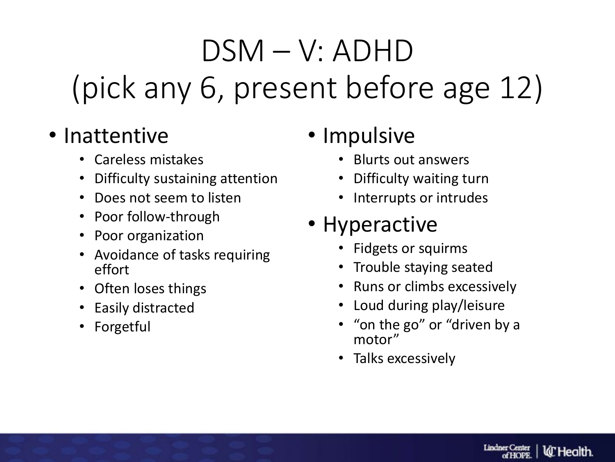# DSM – V: ADHD (pick any 6, present before age 12)

#### • Inattentive

- Careless mistakes
- Difficulty sustaining attention
- Does not seem to listen
- Poor follow-through
- Poor organization
- Avoidance of tasks requiring effort
- Often loses things
- Easily distracted
- Forgetful

#### • Impulsive

- Blurts out answers
- Difficulty waiting turn
- Interrupts or intrudes

#### • Hyperactive

- Fidgets or squirms
- Trouble staying seated
- Runs or climbs excessively
- Loud during play/leisure
- "on the go" or "driven by a motor"
- Talks excessively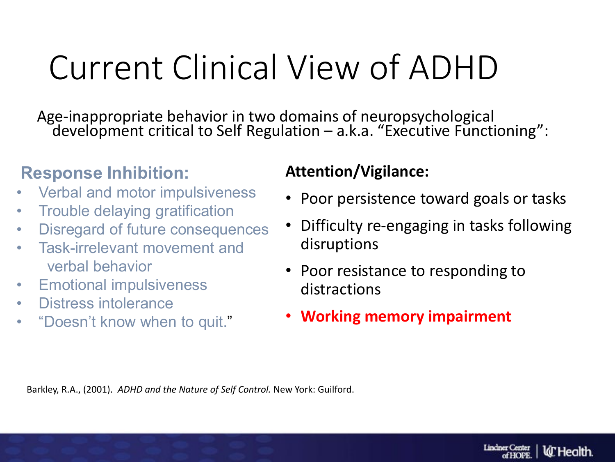# Current Clinical View of ADHD

Age-inappropriate behavior in two domains of neuropsychological development critical to Self Regulation – a.k.a. "Executive Functioning":

#### **Response Inhibition:**

- Verbal and motor impulsiveness
- Trouble delaying gratification
- Disregard of future consequences
- Task-irrelevant movement and verbal behavior
- **Emotional impulsiveness**
- Distress intolerance
- "Doesn't know when to quit."

#### **Attention/Vigilance:**

- Poor persistence toward goals or tasks
- Difficulty re-engaging in tasks following disruptions
- Poor resistance to responding to distractions
- **Working memory impairment**

Barkley, R.A., (2001). *ADHD and the Nature of Self Control.* New York: Guilford.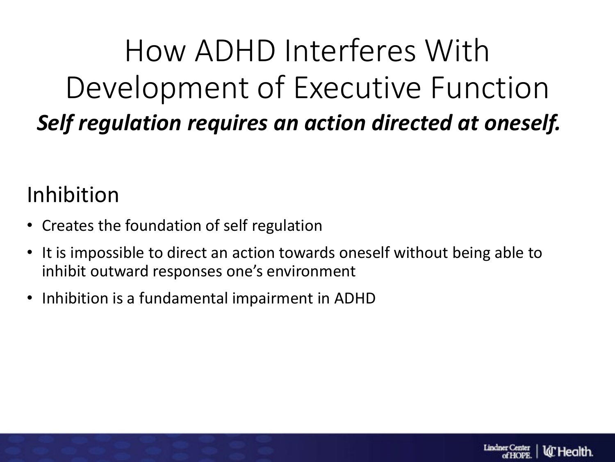#### How ADHD Interferes With Development of Executive Function *Self regulation requires an action directed at oneself.*

#### Inhibition

- Creates the foundation of self regulation
- It is impossible to direct an action towards oneself without being able to inhibit outward responses one's environment
- Inhibition is a fundamental impairment in ADHD

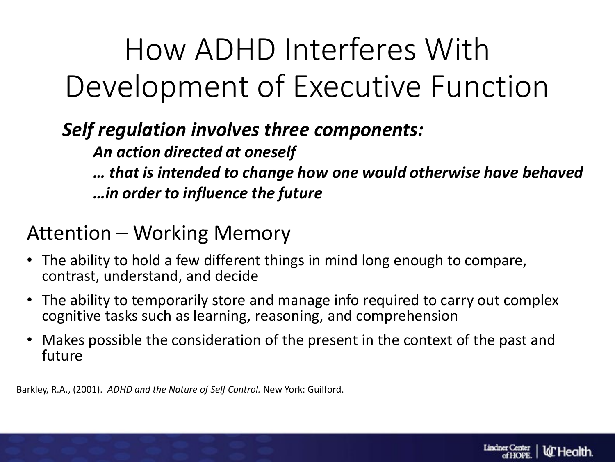### How ADHD Interferes With Development of Executive Function

*Self regulation involves three components:*

*An action directed at oneself*

*… that is intended to change how one would otherwise have behaved …in order to influence the future*

#### Attention – Working Memory

- The ability to hold a few different things in mind long enough to compare, contrast, understand, and decide
- The ability to temporarily store and manage info required to carry out complex cognitive tasks such as learning, reasoning, and comprehension
- Makes possible the consideration of the present in the context of the past and future

Barkley, R.A., (2001). *ADHD and the Nature of Self Control.* New York: Guilford.

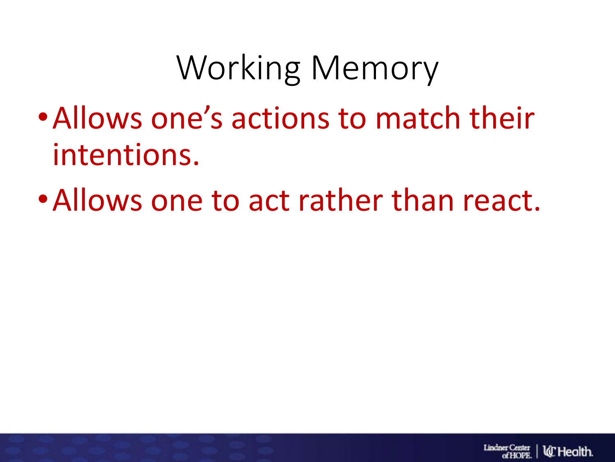# Working Memory

- •Allows one's actions to match their intentions.
- •Allows one to act rather than react.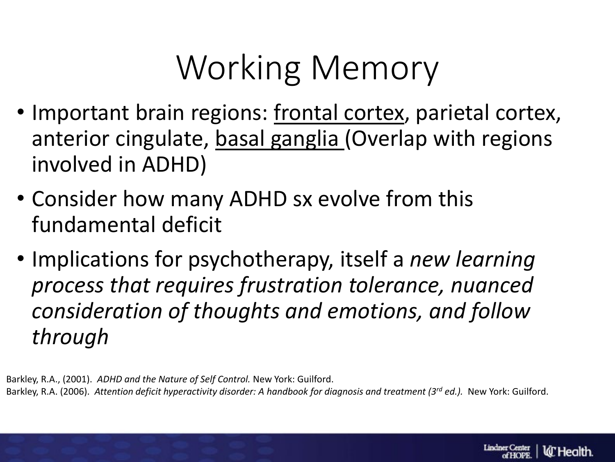# Working Memory

- Important brain regions: frontal cortex, parietal cortex, anterior cingulate, basal ganglia (Overlap with regions involved in ADHD)
- Consider how many ADHD sx evolve from this fundamental deficit
- Implications for psychotherapy, itself a *new learning process that requires frustration tolerance, nuanced consideration of thoughts and emotions, and follow through*

Barkley, R.A., (2001). *ADHD and the Nature of Self Control.* New York: Guilford. Barkley, R.A. (2006). *Attention deficit hyperactivity disorder: A handbook for diagnosis and treatment (3rd ed.).* New York: Guilford.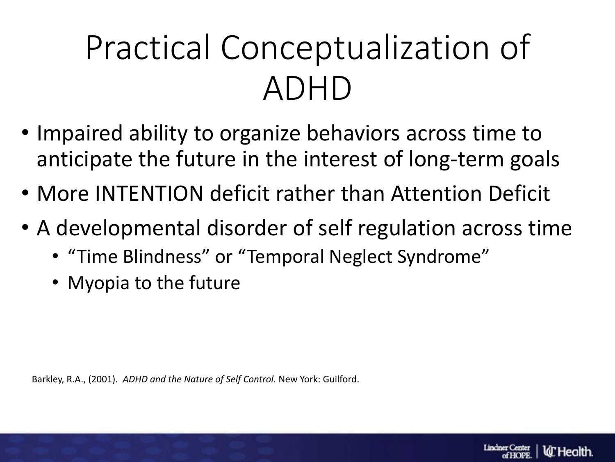# Practical Conceptualization of ADHD

- Impaired ability to organize behaviors across time to anticipate the future in the interest of long-term goals
- More INTENTION deficit rather than Attention Deficit
- A developmental disorder of self regulation across time
	- "Time Blindness" or "Temporal Neglect Syndrome"
	- Myopia to the future

Barkley, R.A., (2001). *ADHD and the Nature of Self Control.* New York: Guilford.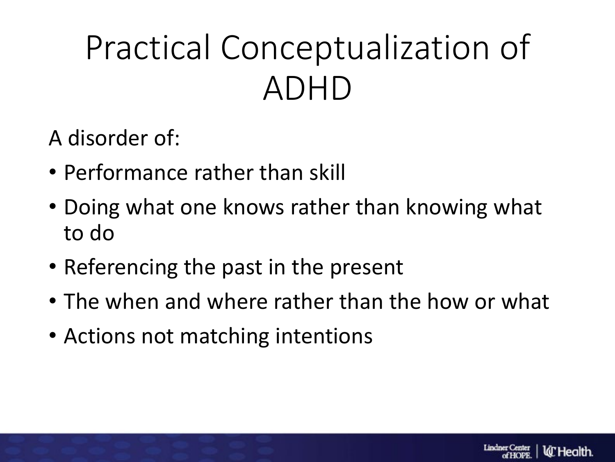# Practical Conceptualization of ADHD

A disorder of:

- Performance rather than skill
- Doing what one knows rather than knowing what to do
- Referencing the past in the present
- The when and where rather than the how or what
- Actions not matching intentions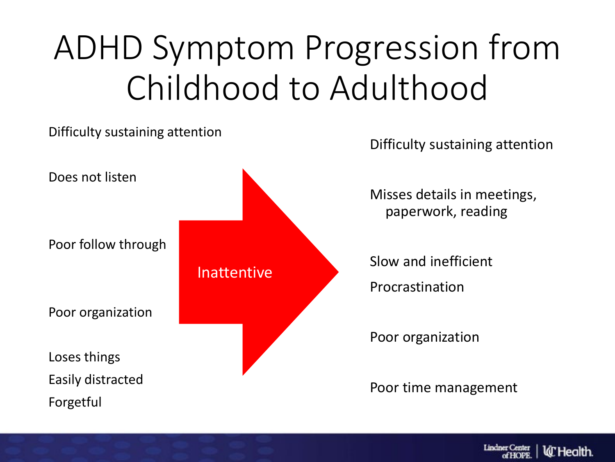# ADHD Symptom Progression from Childhood to Adulthood



**Lindner Center ld'** Health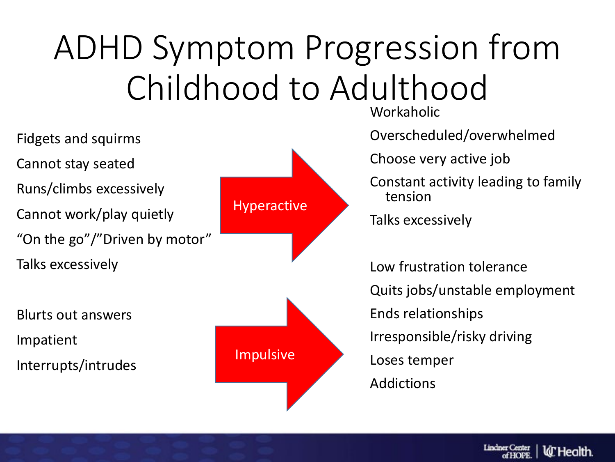# ADHD Symptom Progression from Childhood to Adulthood

Fidgets and squirms Cannot stay seated Runs/climbs excessively Cannot work/play quietly "On the go"/"Driven by motor" Talks excessively

Blurts out answers Impatient Interrupts/intrudes



Workaholic

Overscheduled/overwhelmed

Choose very active job

Constant activity leading to family tension

Talks excessively

Low frustration tolerance Quits jobs/unstable employment Ends relationships Irresponsible/risky driving Loses temper Addictions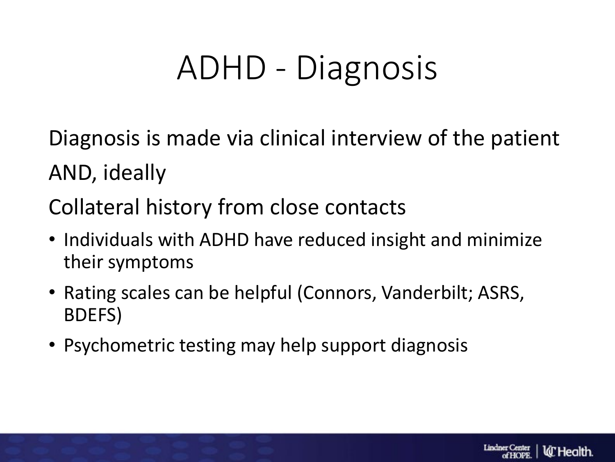# ADHD - Diagnosis

Diagnosis is made via clinical interview of the patient AND, ideally

Collateral history from close contacts

- Individuals with ADHD have reduced insight and minimize their symptoms
- Rating scales can be helpful (Connors, Vanderbilt; ASRS, BDEFS)
- Psychometric testing may help support diagnosis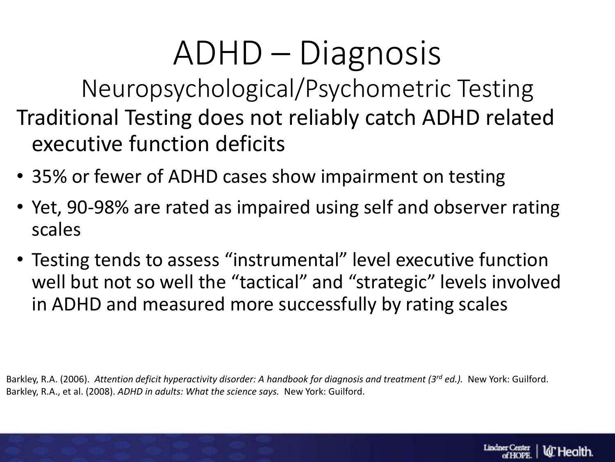# ADHD – Diagnosis

Neuropsychological/Psychometric Testing Traditional Testing does not reliably catch ADHD related executive function deficits

- 35% or fewer of ADHD cases show impairment on testing
- Yet, 90-98% are rated as impaired using self and observer rating scales
- Testing tends to assess "instrumental" level executive function well but not so well the "tactical" and "strategic" levels involved in ADHD and measured more successfully by rating scales

Barkley, R.A. (2006). *Attention deficit hyperactivity disorder: A handbook for diagnosis and treatment (3rd ed.).* New York: Guilford. Barkley, R.A., et al. (2008). *ADHD in adults: What the science says.* New York: Guilford.

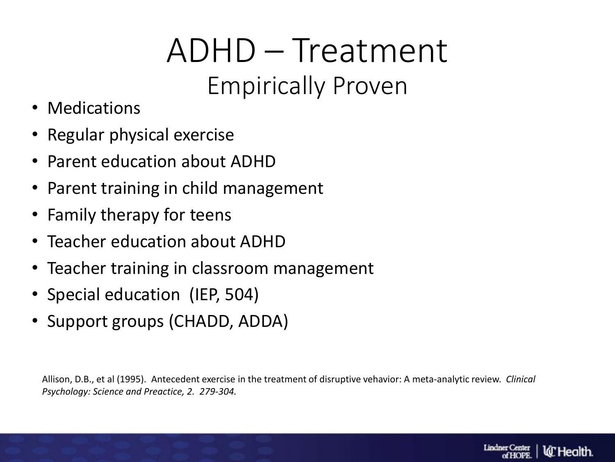#### ADHD – Treatment Empirically Proven

- Medications
- Regular physical exercise
- Parent education about ADHD
- Parent training in child management
- Family therapy for teens
- Teacher education about ADHD
- Teacher training in classroom management
- Special education (IEP, 504)
- Support groups (CHADD, ADDA)

Allison, D.B., et al (1995). Antecedent exercise in the treatment of disruptive vehavior: A meta-analytic review. *Clinical Psychology: Science and Preactice, 2. 279-304.*

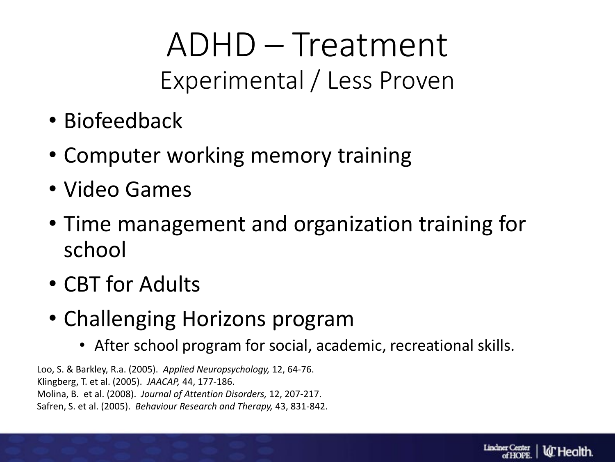#### ADHD – Treatment Experimental / Less Proven

- Biofeedback
- Computer working memory training
- Video Games
- Time management and organization training for school
- CBT for Adults
- Challenging Horizons program
	- After school program for social, academic, recreational skills.

Loo, S. & Barkley, R.a. (2005). *Applied Neuropsychology,* 12, 64-76. Klingberg, T. et al. (2005). *JAACAP,* 44, 177-186. Molina, B. et al. (2008). *Journal of Attention Disorders,* 12, 207-217. Safren, S. et al. (2005). *Behaviour Research and Therapy,* 43, 831-842.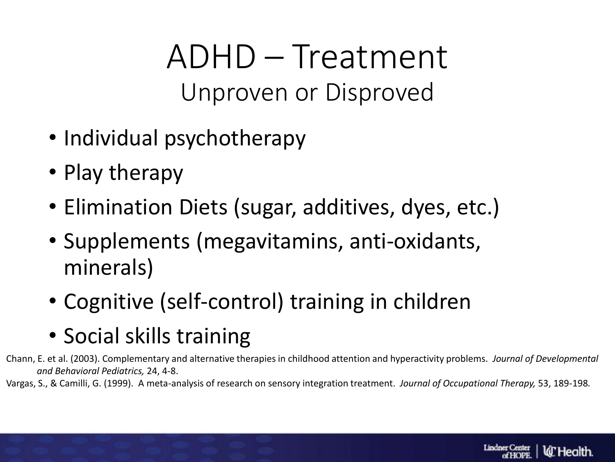ADHD – Treatment Unproven or Disproved

- Individual psychotherapy
- Play therapy
- Elimination Diets (sugar, additives, dyes, etc.)
- Supplements (megavitamins, anti-oxidants, minerals)
- Cognitive (self-control) training in children
- Social skills training

Chann, E. et al. (2003). Complementary and alternative therapies in childhood attention and hyperactivity problems. *Journal of Developmental and Behavioral Pediatrics,* 24, 4-8.

Vargas, S., & Camilli, G. (1999). A meta-analysis of research on sensory integration treatment. *Journal of Occupational Therapy,* 53, 189-198*.*

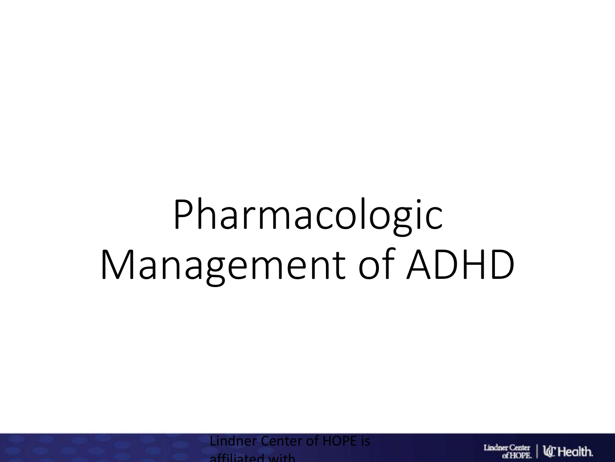# Pharmacologic Management of ADHD

**Center of HOPE is** affiliated with

**Lindner Center la** Health. of HOPE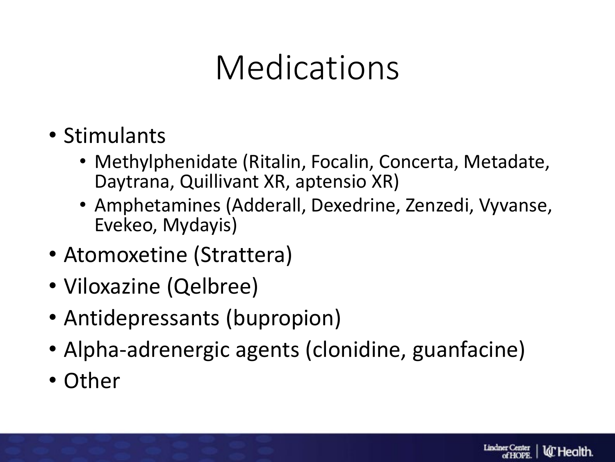### Medications

- Stimulants
	- Methylphenidate (Ritalin, Focalin, Concerta, Metadate, Daytrana, Quillivant XR, aptensio XR)
	- Amphetamines (Adderall, Dexedrine, Zenzedi, Vyvanse, Evekeo, Mydayis)
- Atomoxetine (Strattera)
- Viloxazine (Qelbree)
- Antidepressants (bupropion)
- Alpha-adrenergic agents (clonidine, guanfacine)
- Other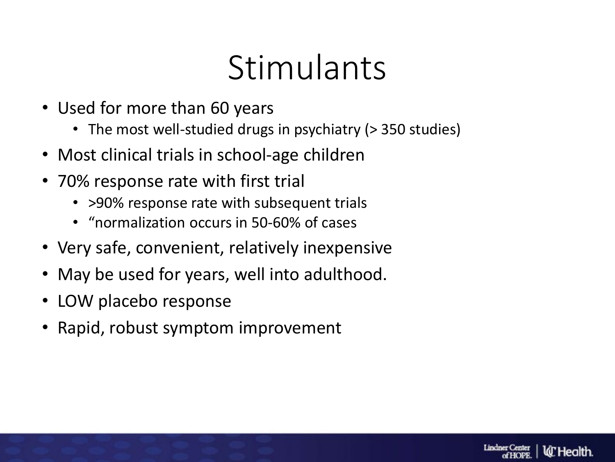### **Stimulants**

**Lindner Center** 

**W** Health

- Used for more than 60 years
	- The most well-studied drugs in psychiatry (> 350 studies)
- Most clinical trials in school-age children
- 70% response rate with first trial
	- > 90% response rate with subsequent trials
	- "normalization occurs in 50-60% of cases
- Very safe, convenient, relatively inexpensive
- May be used for years, well into adulthood.
- LOW placebo response
- Rapid, robust symptom improvement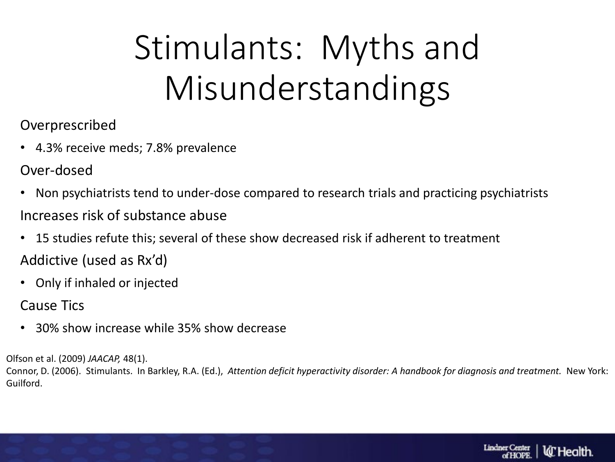# Stimulants: Myths and Misunderstandings

- Overprescribed
- 4.3% receive meds; 7.8% prevalence
- Over-dosed
- Non psychiatrists tend to under-dose compared to research trials and practicing psychiatrists Increases risk of substance abuse
- 15 studies refute this; several of these show decreased risk if adherent to treatment Addictive (used as Rx'd)
- Only if inhaled or injected
- Cause Tics
- 30% show increase while 35% show decrease

Olfson et al. (2009) *JAACAP,* 48(1).

Connor, D. (2006). Stimulants. In Barkley, R.A. (Ed.), *Attention deficit hyperactivity disorder: A handbook for diagnosis and treatment.* New York: Guilford.

**Lindner Center** 

ld" Health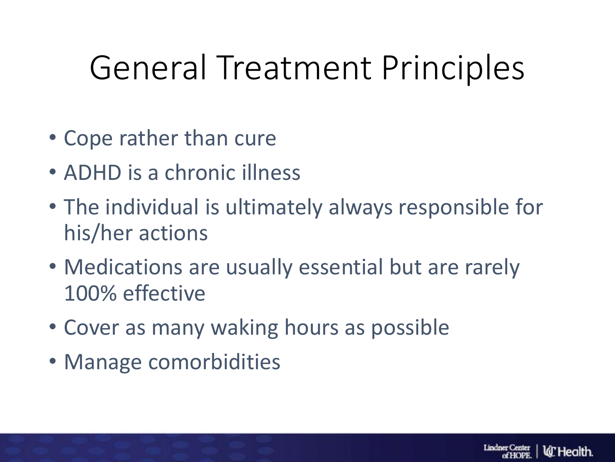### General Treatment Principles

- Cope rather than cure
- ADHD is a chronic illness
- The individual is ultimately always responsible for his/her actions
- Medications are usually essential but are rarely 100% effective
- Cover as many waking hours as possible
- Manage comorbidities